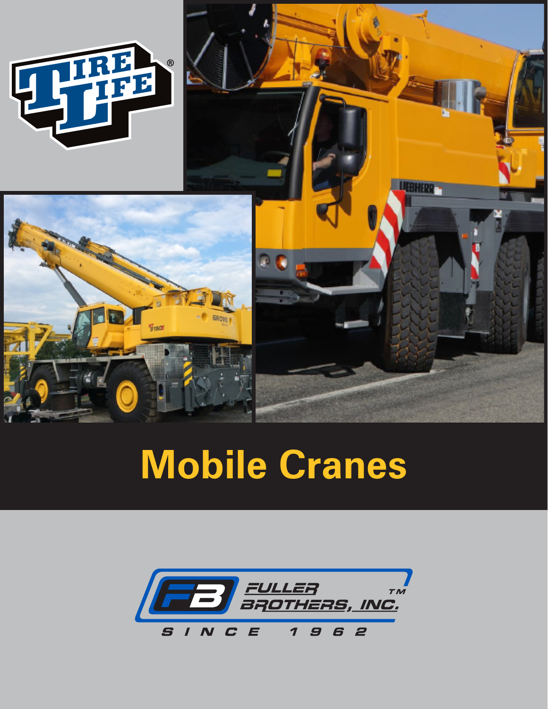

# **Mobile Cranes**